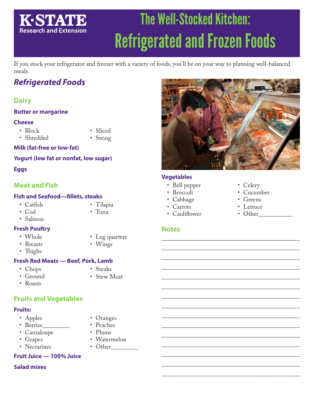# **K-STATE Research and Extension**

# The Well-Stocked Kitchen: Refrigerated and Frozen Foods

If you stock your refrigerator and freezer with a variety of foods, you'll be on your way to planning well-balanced meals.

# *Refrigerated Foods*

# **Dairy**

### **Butter or margarine**

### **Cheese**

- Block
- Shredded
- Sliced • String

### **Milk (fat-free or low-fat)**

### **Yogurt (low fat or nonfat, low sugar)**

### **Eggs**

# **Meat and Fish**

### **Fish and Seafood—fillets, steaks**

- Catfish
- Cod
- Salmon

### **Fresh Poultry**

- Whole • Breasts
- 
- Thighs
- 
- 

### **Fresh Red Meats — Beef, Pork, Lamb**

• Chops

• Steaks

- Ground
- Stew Meat
- Roasts
- **Fruits and Vegetables**

# **Fruits:**

- Apples
- Berries
- Cantaloupe
- Grapes
- Nectarines
- Oranges • Peaches
- 
- Plums
- Watermelon • Other
- **Fruit Juice 100% Juice**

### **Salad mixes**

\_\_\_\_\_\_\_\_\_\_\_\_\_\_\_\_\_\_\_\_\_\_\_\_\_\_\_\_\_\_\_\_\_\_\_\_\_\_\_\_\_\_\_\_\_  $\overline{\phantom{a}}$  , and the contract of the contract of  $\overline{\phantom{a}}$ \_\_\_\_\_\_\_\_\_\_\_\_\_\_\_\_\_\_\_\_\_\_\_\_\_\_\_\_\_\_\_\_\_\_\_\_\_\_\_\_\_\_\_\_\_ \_\_\_\_\_\_\_\_\_\_\_\_\_\_\_\_\_\_\_\_\_\_\_\_\_\_\_\_\_\_\_\_\_\_\_\_\_\_\_\_\_\_\_\_\_  $\overline{\phantom{a}}$  , and the contract of the contract of  $\overline{\phantom{a}}$ \_\_\_\_\_\_\_\_\_\_\_\_\_\_\_\_\_\_\_\_\_\_\_\_\_\_\_\_\_\_\_\_\_\_\_\_\_\_\_\_\_\_\_\_\_  $\overline{\phantom{a}}$  , and the contract of the contract of  $\overline{\phantom{a}}$ \_\_\_\_\_\_\_\_\_\_\_\_\_\_\_\_\_\_\_\_\_\_\_\_\_\_\_\_\_\_\_\_\_\_\_\_\_\_\_\_\_\_\_\_\_ \_\_\_\_\_\_\_\_\_\_\_\_\_\_\_\_\_\_\_\_\_\_\_\_\_\_\_\_\_\_\_\_\_\_\_\_\_\_\_\_\_\_\_\_\_  $\overline{\phantom{a}}$  , and the contract of the contract of  $\overline{\phantom{a}}$ \_\_\_\_\_\_\_\_\_\_\_\_\_\_\_\_\_\_\_\_\_\_\_\_\_\_\_\_\_\_\_\_\_\_\_\_\_\_\_\_\_\_\_\_\_  $\overline{\phantom{a}}$  , and the contract of the contract of  $\overline{\phantom{a}}$ \_\_\_\_\_\_\_\_\_\_\_\_\_\_\_\_\_\_\_\_\_\_\_\_\_\_\_\_\_\_\_\_\_\_\_\_\_\_\_\_\_\_\_\_\_ \_\_\_\_\_\_\_\_\_\_\_\_\_\_\_\_\_\_\_\_\_\_\_\_\_\_\_\_\_\_\_\_\_\_\_\_\_\_\_\_\_\_\_\_\_

• Cauliflower

### **Notes**

- Celery
- Cucumber
- Greens
- Lettuce
- Other
- Wings
- 
- 
- 
- 
- 
- $\overline{\phantom{a}}$  , and the contract of the contract of  $\overline{\phantom{a}}$
- Leg quarters
- **Vegetables** • Bell pepper • Broccoli • Cabbage
	- Carrots
		-



- 
- Tilapia • Tuna
	-
	-
- 
-